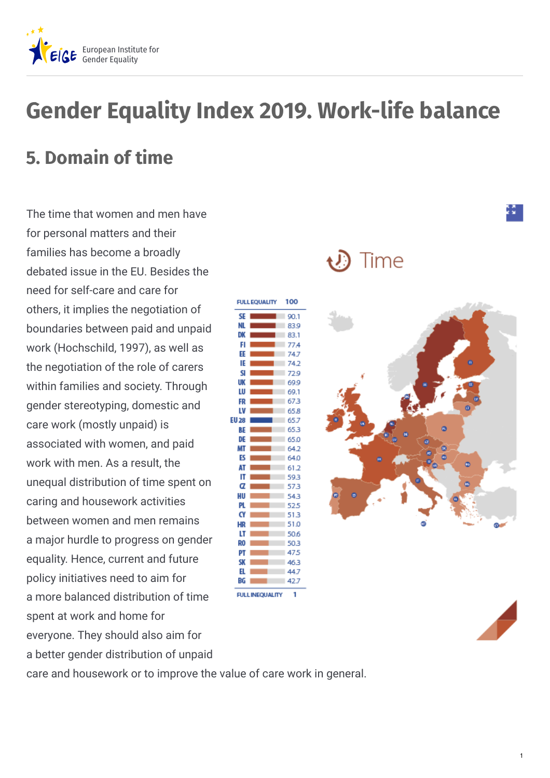

# **Gender Equality Index 2019. Work-life balance**

### **5. Domain of time**

The time that women and men have for personal matters and their families has become a broadly debated issue in the EU. Besides the need for self-care and care for others, it implies the negotiation of boundaries between paid and unpaid work (Hochschild, 1997), as well as the negotiation of the role of carers within families and society. Through gender stereotyping, domestic and care work (mostly unpaid) is associated with women, and paid work with men. As a result, the unequal distribution of time spent on caring and housework activities between women and men remains a major hurdle to progress on gender equality. Hence, current and future policy initiatives need to aim for a more balanced distribution of time spent at work and home for everyone. They should also aim for a better gender distribution of unpaid

**FULL FOUALITY** 100 SF 90.1 83.9 83.1 774 EE 74.7 IF 74.2 72.9 шк 699 69.1 LU 67.3 LV 65.8 **EU 28** 65.7 65.3 DF 65.0 64.2 64.0 AT 61.2 59.3 α 57.3 HU 54.3 52.5 ٢٧ 51.3 HR 51.0 50.6 R0 50.3 475 46.3 H. 44.7 BG 42.7 FULL INFOUALITY

## Time



care and housework or to improve the value of care work in general.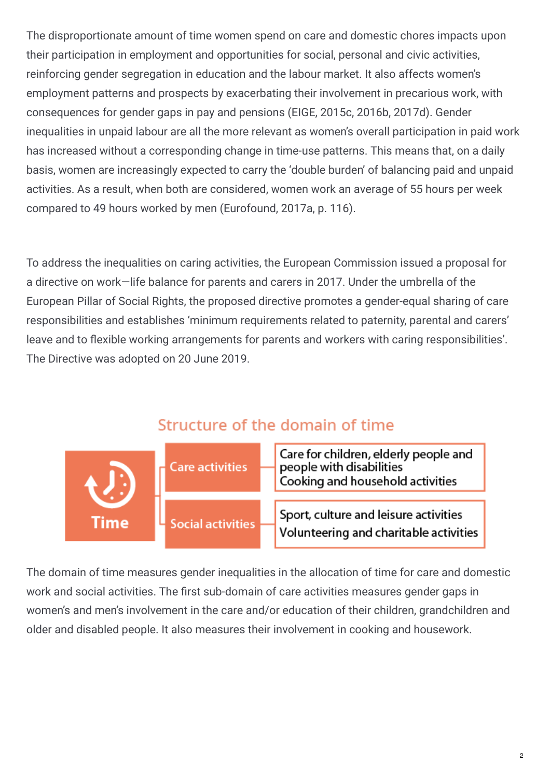The disproportionate amount of time women spend on care and domestic chores impacts upon their participation in employment and opportunities for social, personal and civic activities, reinforcing gender segregation in education and the labour market. It also affects women's employment patterns and prospects by exacerbating their involvement in precarious work, with consequences for gender gaps in pay and pensions (EIGE, 2015c, 2016b, 2017d). Gender inequalities in unpaid labour are all the more relevant as women's overall participation in paid work has increased without a corresponding change in time-use patterns. This means that, on a daily basis, women are increasingly expected to carry the 'double burden' of balancing paid and unpaid activities. As a result, when both are considered, women work an average of 55 hours per week compared to 49 hours worked by men (Eurofound, 2017a, p. 116).

To address the inequalities on caring activities, the European Commission issued a proposal for a directive on work—life balance for parents and carers in 2017. Under the umbrella of the European Pillar of Social Rights, the proposed directive promotes a gender-equal sharing of care responsibilities and establishes 'minimum requirements related to paternity, parental and carers' leave and to flexible working arrangements for parents and workers with caring responsibilities'. The Directive was adopted on 20 June 2019.

#### Structure of the domain of time



The domain of time measures gender inequalities in the allocation of time for care and domestic work and social activities. The first sub-domain of care activities measures gender gaps in women's and men's involvement in the care and/or education of their children, grandchildren and older and disabled people. It also measures their involvement in cooking and housework.